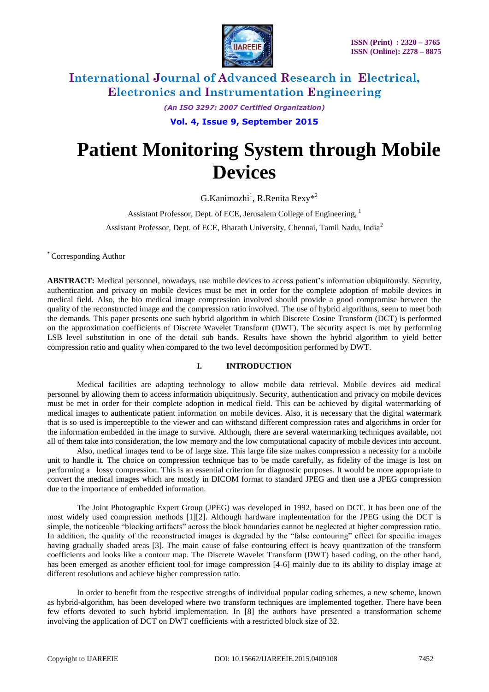

*(An ISO 3297: 2007 Certified Organization)* **Vol. 4, Issue 9, September 2015**

# **Patient Monitoring System through Mobile Devices**

 $G.Kanimozhi<sup>1</sup>, R.Renita Rexy*<sup>2</sup>$ 

Assistant Professor, Dept. of ECE, Jerusalem College of Engineering, <sup>1</sup>

Assistant Professor, Dept. of ECE, Bharath University, Chennai, Tamil Nadu, India<sup>2</sup>

\* Corresponding Author

**ABSTRACT:** Medical personnel, nowadays, use mobile devices to access patient's information ubiquitously. Security, authentication and privacy on mobile devices must be met in order for the complete adoption of mobile devices in medical field. Also, the bio medical image compression involved should provide a good compromise between the quality of the reconstructed image and the compression ratio involved. The use of hybrid algorithms, seem to meet both the demands. This paper presents one such hybrid algorithm in which Discrete Cosine Transform (DCT) is performed on the approximation coefficients of Discrete Wavelet Transform (DWT). The security aspect is met by performing LSB level substitution in one of the detail sub bands. Results have shown the hybrid algorithm to yield better compression ratio and quality when compared to the two level decomposition performed by DWT.

### **I. INTRODUCTION**

Medical facilities are adapting technology to allow mobile data retrieval. Mobile devices aid medical personnel by allowing them to access information ubiquitously. Security, authentication and privacy on mobile devices must be met in order for their complete adoption in medical field. This can be achieved by digital watermarking of medical images to authenticate patient information on mobile devices. Also, it is necessary that the digital watermark that is so used is imperceptible to the viewer and can withstand different compression rates and algorithms in order for the information embedded in the image to survive. Although, there are several watermarking techniques available, not all of them take into consideration, the low memory and the low computational capacity of mobile devices into account.

Also, medical images tend to be of large size. This large file size makes compression a necessity for a mobile unit to handle it. The choice on compression technique has to be made carefully, as fidelity of the image is lost on performing a lossy compression. This is an essential criterion for diagnostic purposes. It would be more appropriate to convert the medical images which are mostly in DICOM format to standard JPEG and then use a JPEG compression due to the importance of embedded information.

The Joint Photographic Expert Group (JPEG) was developed in 1992, based on DCT. It has been one of the most widely used compression methods [1][2]. Although hardware implementation for the JPEG using the DCT is simple, the noticeable "blocking artifacts" across the block boundaries cannot be neglected at higher compression ratio. In addition, the quality of the reconstructed images is degraded by the "false contouring" effect for specific images having gradually shaded areas [3]. The main cause of false contouring effect is heavy quantization of the transform coefficients and looks like a contour map. The Discrete Wavelet Transform (DWT) based coding, on the other hand, has been emerged as another efficient tool for image compression [4-6] mainly due to its ability to display image at different resolutions and achieve higher compression ratio.

In order to benefit from the respective strengths of individual popular coding schemes, a new scheme, known as hybrid-algorithm, has been developed where two transform techniques are implemented together. There have been few efforts devoted to such hybrid implementation. In [8] the authors have presented a transformation scheme involving the application of DCT on DWT coefficients with a restricted block size of 32.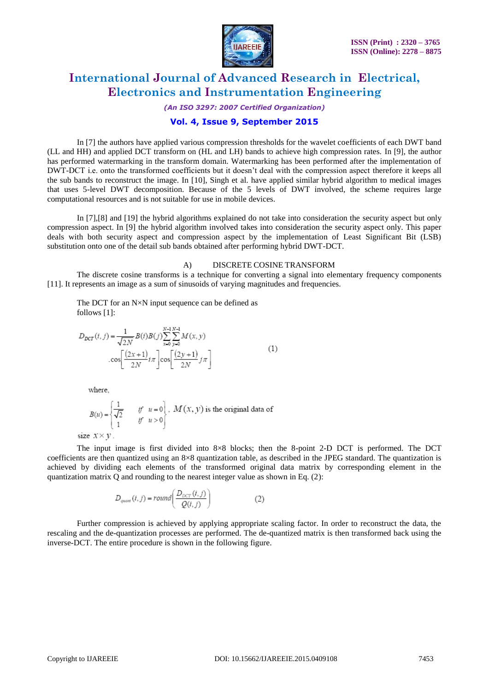

*(An ISO 3297: 2007 Certified Organization)*

### **Vol. 4, Issue 9, September 2015**

In [7] the authors have applied various compression thresholds for the wavelet coefficients of each DWT band (LL and HH) and applied DCT transform on (HL and LH) bands to achieve high compression rates. In [9], the author has performed watermarking in the transform domain. Watermarking has been performed after the implementation of DWT-DCT i.e. onto the transformed coefficients but it doesn't deal with the compression aspect therefore it keeps all the sub bands to reconstruct the image. In [10], Singh et al. have applied similar hybrid algorithm to medical images that uses 5-level DWT decomposition. Because of the 5 levels of DWT involved, the scheme requires large computational resources and is not suitable for use in mobile devices.

In [7],[8] and [19] the hybrid algorithms explained do not take into consideration the security aspect but only compression aspect. In [9] the hybrid algorithm involved takes into consideration the security aspect only. This paper deals with both security aspect and compression aspect by the implementation of Least Significant Bit (LSB) substitution onto one of the detail sub bands obtained after performing hybrid DWT-DCT.

#### A) DISCRETE COSINE TRANSFORM

The discrete cosine transforms is a technique for converting a signal into elementary frequency components [11]. It represents an image as a sum of sinusoids of varying magnitudes and frequencies.

The DCT for an N $\times$ N input sequence can be defined as follows [1]:

$$
D_{DCT}(i, j) = \frac{1}{\sqrt{2N}} B(i) B(j) \sum_{x=0}^{N-1} \sum_{y=0}^{N-1} M(x, y)
$$

$$
\cos \left[ \frac{(2x+1)}{2N} i\pi \right] \cos \left[ \frac{(2y+1)}{2N} j\pi \right]
$$
(1)

where.

$$
B(u) = \begin{cases} \frac{1}{\sqrt{2}} & \text{if } u = 0 \\ 1 & \text{if } u > 0 \end{cases}, M(x, y) \text{ is the original data of}
$$

size  $x \times y$ .

The input image is first divided into 8×8 blocks; then the 8-point 2-D DCT is performed. The DCT coefficients are then quantized using an 8×8 quantization table, as described in the JPEG standard. The quantization is achieved by dividing each elements of the transformed original data matrix by corresponding element in the quantization matrix Q and rounding to the nearest integer value as shown in Eq. (2):

$$
D_{quart}(i,j) = round\left(\frac{D_{DCT}(i,j)}{Q(i,j)}\right) \tag{2}
$$

Further compression is achieved by applying appropriate scaling factor. In order to reconstruct the data, the rescaling and the de-quantization processes are performed. The de-quantized matrix is then transformed back using the inverse-DCT. The entire procedure is shown in the following figure.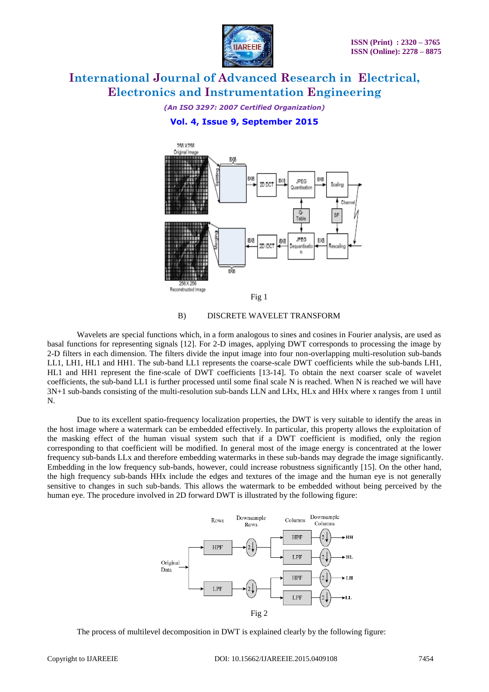

## *(An ISO 3297: 2007 Certified Organization)* **Vol. 4, Issue 9, September 2015**



### B) DISCRETE WAVELET TRANSFORM

Wavelets are special functions which, in a form analogous to sines and cosines in Fourier analysis, are used as basal functions for representing signals [12]. For 2-D images, applying DWT corresponds to processing the image by 2-D filters in each dimension. The filters divide the input image into four non-overlapping multi-resolution sub-bands LL1, LH1, HL1 and HH1. The sub-band LL1 represents the coarse-scale DWT coefficients while the sub-bands LH1, HL1 and HH1 represent the fine-scale of DWT coefficients [13-14]. To obtain the next coarser scale of wavelet coefficients, the sub-band LL1 is further processed until some final scale N is reached. When N is reached we will have 3N+1 sub-bands consisting of the multi-resolution sub-bands LLN and LHx, HLx and HHx where x ranges from 1 until N.

Due to its excellent spatio-frequency localization properties, the DWT is very suitable to identify the areas in the host image where a watermark can be embedded effectively. In particular, this property allows the exploitation of the masking effect of the human visual system such that if a DWT coefficient is modified, only the region corresponding to that coefficient will be modified. In general most of the image energy is concentrated at the lower frequency sub-bands LLx and therefore embedding watermarks in these sub-bands may degrade the image significantly. Embedding in the low frequency sub-bands, however, could increase robustness significantly [15]. On the other hand, the high frequency sub-bands HHx include the edges and textures of the image and the human eye is not generally sensitive to changes in such sub-bands. This allows the watermark to be embedded without being perceived by the human eye. The procedure involved in 2D forward DWT is illustrated by the following figure:



The process of multilevel decomposition in DWT is explained clearly by the following figure: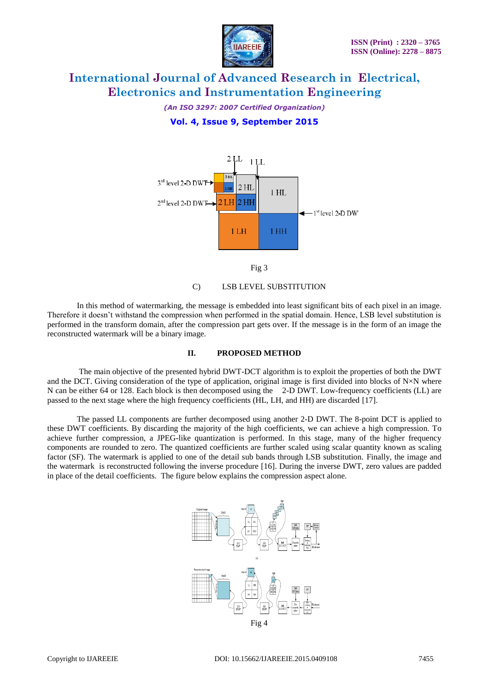

*(An ISO 3297: 2007 Certified Organization)* **Vol. 4, Issue 9, September 2015**





C) LSB LEVEL SUBSTITUTION

In this method of watermarking, the message is embedded into least significant bits of each pixel in an image. Therefore it doesn't withstand the compression when performed in the spatial domain. Hence, LSB level substitution is performed in the transform domain, after the compression part gets over. If the message is in the form of an image the reconstructed watermark will be a binary image.

#### **II. PROPOSED METHOD**

The main objective of the presented hybrid DWT-DCT algorithm is to exploit the properties of both the DWT and the DCT. Giving consideration of the type of application, original image is first divided into blocks of  $N\times N$  where N can be either 64 or 128. Each block is then decomposed using the 2-D DWT. Low-frequency coefficients (LL) are passed to the next stage where the high frequency coefficients (HL, LH, and HH) are discarded [17].

The passed LL components are further decomposed using another 2-D DWT. The 8-point DCT is applied to these DWT coefficients. By discarding the majority of the high coefficients, we can achieve a high compression. To achieve further compression, a JPEG-like quantization is performed. In this stage, many of the higher frequency components are rounded to zero. The quantized coefficients are further scaled using scalar quantity known as scaling factor (SF). The watermark is applied to one of the detail sub bands through LSB substitution. Finally, the image and the watermark is reconstructed following the inverse procedure [16]. During the inverse DWT, zero values are padded in place of the detail coefficients. The figure below explains the compression aspect alone.

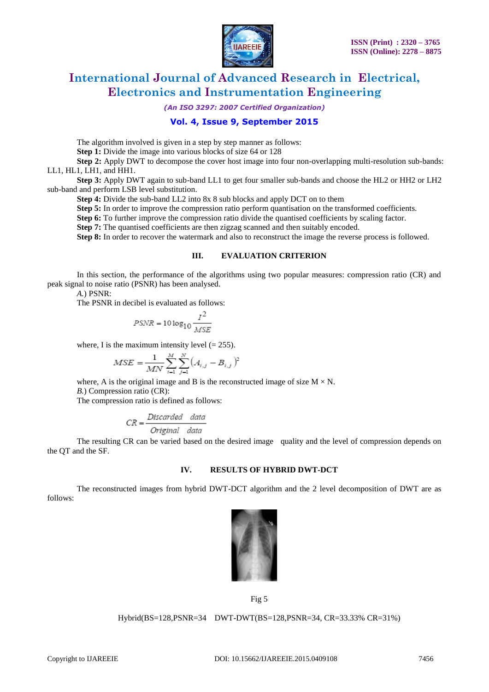

*(An ISO 3297: 2007 Certified Organization)*

### **Vol. 4, Issue 9, September 2015**

The algorithm involved is given in a step by step manner as follows: **Step 1:** Divide the image into various blocks of size 64 or 128

**Step 2:** Apply DWT to decompose the cover host image into four non-overlapping multi-resolution sub-bands: LL1, HL1, LH1, and HH1.

**Step 3:** Apply DWT again to sub-band LL1 to get four smaller sub-bands and choose the HL2 or HH2 or LH2 sub-band and perform LSB level substitution.

**Step 4:** Divide the sub-band LL2 into 8x 8 sub blocks and apply DCT on to them

**Step 5:** In order to improve the compression ratio perform quantisation on the transformed coefficients.

**Step 6:** To further improve the compression ratio divide the quantised coefficients by scaling factor.

**Step 7:** The quantised coefficients are then zigzag scanned and then suitably encoded.

**Step 8:** In order to recover the watermark and also to reconstruct the image the reverse process is followed.

### **III. EVALUATION CRITERION**

In this section, the performance of the algorithms using two popular measures: compression ratio (CR) and peak signal to noise ratio (PSNR) has been analysed.

*A.*) PSNR:

The PSNR in decibel is evaluated as follows:

$$
PSNR = 10\log_{10}\frac{I^2}{MSE}
$$

where, I is the maximum intensity level  $(= 255)$ .

$$
MSE = \frac{1}{MN} \sum_{i=1}^{M} \sum_{j=1}^{N} (A_{i,j} - B_{i,j})^{2}
$$

where, A is the original image and B is the reconstructed image of size  $M \times N$ .

*B.*) Compression ratio (CR):

The compression ratio is defined as follows:

$$
CR = \frac{Discarded \quad data}{Original \quad data}
$$

The resulting CR can be varied based on the desired image quality and the level of compression depends on the QT and the SF.

#### **IV. RESULTS OF HYBRID DWT-DCT**

The reconstructed images from hybrid DWT-DCT algorithm and the 2 level decomposition of DWT are as follows:



Fig 5

Hybrid(BS=128,PSNR=34 DWT-DWT(BS=128,PSNR=34, CR=33.33% CR=31%)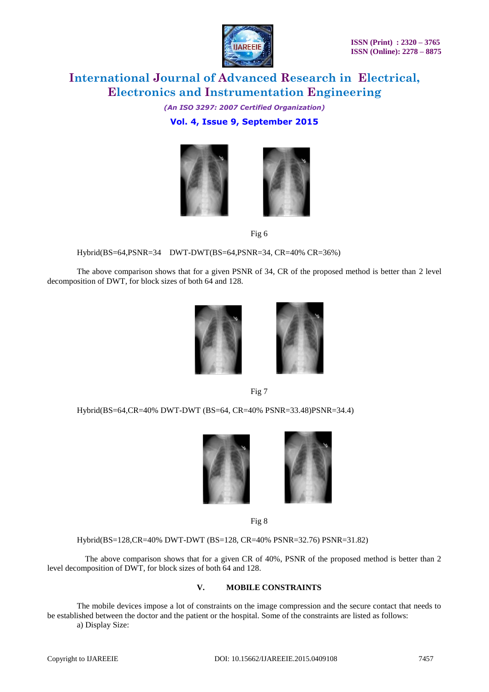

*(An ISO 3297: 2007 Certified Organization)* **Vol. 4, Issue 9, September 2015**





Fig 6

Hybrid(BS=64,PSNR=34 DWT-DWT(BS=64,PSNR=34, CR=40% CR=36%)

The above comparison shows that for a given PSNR of 34, CR of the proposed method is better than 2 level decomposition of DWT, for block sizes of both 64 and 128.



Fig 7

Hybrid(BS=64,CR=40% DWT-DWT (BS=64, CR=40% PSNR=33.48)PSNR=34.4)



Fig 8

Hybrid(BS=128,CR=40% DWT-DWT (BS=128, CR=40% PSNR=32.76) PSNR=31.82)

 The above comparison shows that for a given CR of 40%, PSNR of the proposed method is better than 2 level decomposition of DWT, for block sizes of both 64 and 128.

### **V. MOBILE CONSTRAINTS**

The mobile devices impose a lot of constraints on the image compression and the secure contact that needs to be established between the doctor and the patient or the hospital. Some of the constraints are listed as follows: a) Display Size: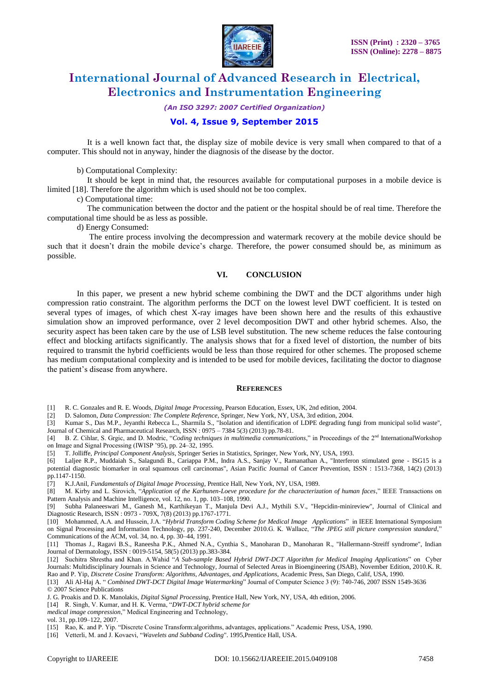

*(An ISO 3297: 2007 Certified Organization)*

### **Vol. 4, Issue 9, September 2015**

 It is a well known fact that, the display size of mobile device is very small when compared to that of a computer. This should not in anyway, hinder the diagnosis of the disease by the doctor.

b) Computational Complexity:

 It should be kept in mind that, the resources available for computational purposes in a mobile device is limited [18]. Therefore the algorithm which is used should not be too complex.

c) Computational time:

 The communication between the doctor and the patient or the hospital should be of real time. Therefore the computational time should be as less as possible.

d) Energy Consumed:

 The entire process involving the decompression and watermark recovery at the mobile device should be such that it doesn't drain the mobile device's charge. Therefore, the power consumed should be, as minimum as possible.

#### **VI. CONCLUSION**

In this paper, we present a new hybrid scheme combining the DWT and the DCT algorithms under high compression ratio constraint. The algorithm performs the DCT on the lowest level DWT coefficient. It is tested on several types of images, of which chest X-ray images have been shown here and the results of this exhaustive simulation show an improved performance, over 2 level decomposition DWT and other hybrid schemes. Also, the security aspect has been taken care by the use of LSB level substitution. The new scheme reduces the false contouring effect and blocking artifacts significantly. The analysis shows that for a fixed level of distortion, the number of bits required to transmit the hybrid coefficients would be less than those required for other schemes. The proposed scheme has medium computational complexity and is intended to be used for mobile devices, facilitating the doctor to diagnose the patient's disease from anywhere.

#### **REFERENCES**

[1] R. C. Gonzales and R. E. Woods, *Digital Image Processing*, Pearson Education, Essex, UK, 2nd edition, 2004.

[2] D. Salomon, *Data Compression: The Complete Reference*, Springer, New York, NY, USA, 3rd edition, 2004.

[3] Kumar S., Das M.P., Jeyanthi Rebecca L., Sharmila S., "Isolation and identification of LDPE degrading fungi from municipal solid waste", Journal of Chemical and Pharmaceutical Research, ISSN : 0975 – 7384 5(3) (2013) pp.78-81.

[4] B. Z. Cihlar, S. Grgic, and D. Modric, "*Coding techniques in multimedia communications*," in Proceedings of the 2<sup>nd</sup> InternationalWorkshop on Image and Signal Processing (IWISP '95), pp. 24–32, 1995.

[5] T. Jolliffe*, Principal Component Analysis*, Springer Series in Statistics, Springer, New York, NY, USA, 1993.

[6] Laljee R.P., Muddaiah S., Salagundi B., Cariappa P.M., Indra A.S., Sanjay V., Ramanathan A., "Interferon stimulated gene - ISG15 is a potential diagnostic biomarker in oral squamous cell carcinomas", Asian Pacific Journal of Cancer Prevention, ISSN : 1513-7368, 14(2) (2013) pp.1147-1150.

[7] K.J.Anil, *Fundamentals of Digital Image Processing*, Prentice Hall, New York, NY, USA, 1989.

[8] M. Kirby and L. Sirovich, "*Application of the Karhunen-Loeve procedure for the characterization of human faces*," IEEE Transactions on Pattern Analysis and Machine Intelligence, vol. 12, no. 1, pp. 103-108, 1990.

[9] Subha Palaneeswari M., Ganesh M., Karthikeyan T., Manjula Devi A.J., Mythili S.V., "Hepcidin-minireview", Journal of Clinical and Diagnostic Research, ISSN : 0973 - 709X, 7(8) (2013) pp.1767-1771.

[10] Mohammed, A.A. and Hussein, J.A. "*Hybrid Transform Coding Scheme for Medical Image Applications*" in IEEE International Symposium on Signal Processing and Information Technology, pp. 237-240, December 2010.G. K. Wallace, "*The JPEG still picture compression standard*," Communications of the ACM, vol. 34, no. 4, pp. 30–44, 1991.

[11] Thomas J., Ragavi B.S., Raneesha P.K., Ahmed N.A., Cynthia S., Manoharan D., Manoharan R., "Hallermann-Streiff syndrome", Indian Journal of Dermatology, ISSN : 0019-5154, 58(5) (2013) pp.383-384.

[12] Suchitra Shrestha and Khan. A.Wahid "*A Sub-sample Based Hybrid DWT-DCT Algorithm for Medical Imaging Applications*" on Cyber Journals: Multidisciplinary Journals in Science and Technology, Journal of Selected Areas in Bioengineering (JSAB), November Edition, 2010.K. R. Rao and P. Yip, *Discrete Cosine Transform: Algorithms, Advantages, and Applications*, Academic Press, San Diego, Calif, USA, 1990.

[13] Ali Al-Haj A. " *Combined DWT-DCT Digital Image Watermarking*" Journal of Computer Science 3 (9): 740-746, 2007 ISSN 1549-3636 © 2007 Science Publications

J. G. Proakis and D. K. Manolakis, *Digital Signal Processing*, Prentice Hall, New York, NY, USA, 4th edition, 2006.

- [14] R. Singh, V. Kumar, and H. K. Verma, "*DWT-DCT hybrid scheme for*
- *medical image compression*," Medical Engineering and Technology,

vol. 31, pp.109–122, 2007.

[15] Rao, K. and P. Yip. "Discrete Cosine Transform:algorithms, advantages, applications." Academic Press, USA, 1990.

[16] Vetterli, M. and J. Kovaevi, "*Wavelets and Subband Coding*". 1995,Prentice Hall, USA.